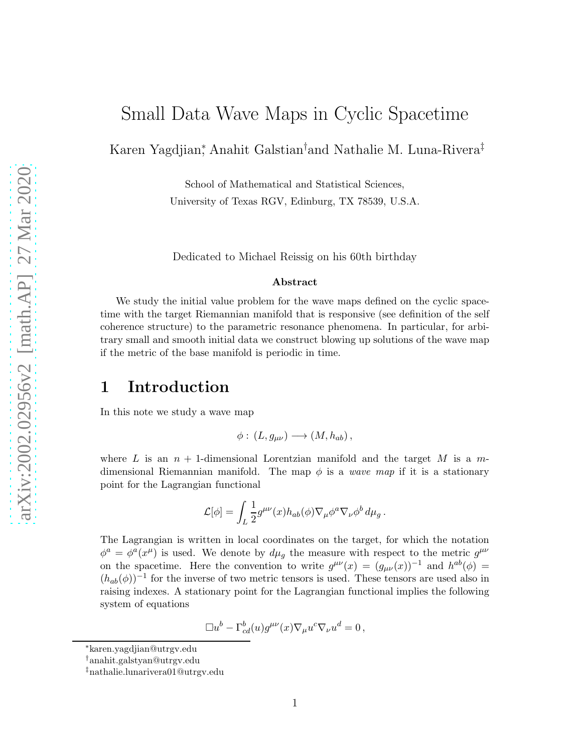# Small Data Wave Maps in Cyclic Spacetime

Karen Yagdjian<sup>∗</sup> , Anahit Galstian†and Nathalie M. Luna-Rivera‡

School of Mathematical and Statistical Sciences, University of Texas RGV, Edinburg, TX 78539, U.S.A.

Dedicated to Michael Reissig on his 60th birthday

#### Abstract

We study the initial value problem for the wave maps defined on the cyclic spacetime with the target Riemannian manifold that is responsive (see definition of the self coherence structure) to the parametric resonance phenomena. In particular, for arbitrary small and smooth initial data we construct blowing up solutions of the wave map if the metric of the base manifold is periodic in time.

#### 1 Introduction

In this note we study a wave map

$$
\phi: (L, g_{\mu\nu}) \longrightarrow (M, h_{ab}),
$$

where L is an  $n + 1$ -dimensional Lorentzian manifold and the target M is a mdimensional Riemannian manifold. The map  $\phi$  is a wave map if it is a stationary point for the Lagrangian functional

$$
\mathcal{L}[\phi] = \int_L \frac{1}{2} g^{\mu\nu}(x) h_{ab}(\phi) \nabla_\mu \phi^a \nabla_\nu \phi^b d\mu_g.
$$

The Lagrangian is written in local coordinates on the target, for which the notation  $\phi^a = \phi^a(x^\mu)$  is used. We denote by  $d\mu_g$  the measure with respect to the metric  $g^{\mu\nu}$ on the spacetime. Here the convention to write  $g^{\mu\nu}(x) = (g_{\mu\nu}(x))^{-1}$  and  $h^{ab}(\phi) =$  $(h_{ab}(\phi))^{-1}$  for the inverse of two metric tensors is used. These tensors are used also in raising indexes. A stationary point for the Lagrangian functional implies the following system of equations

$$
\Box u^b - \Gamma^b_{cd}(u)g^{\mu\nu}(x)\nabla_\mu u^c\nabla_\nu u^d = 0,
$$

<sup>∗</sup>karen.yagdjian@utrgv.edu

<sup>†</sup>anahit.galstyan@utrgv.edu

<sup>‡</sup>nathalie.lunarivera01@utrgv.edu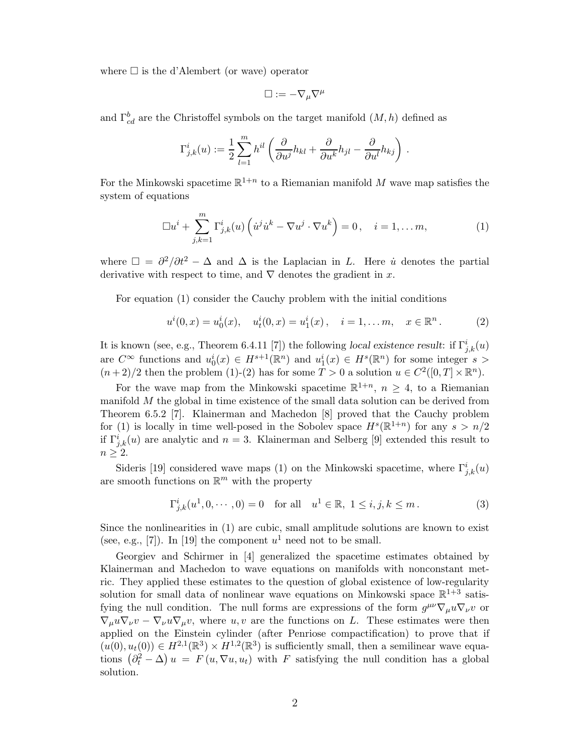where  $\square$  is the d'Alembert (or wave) operator

$$
\Box := -\nabla_\mu \nabla^\mu
$$

and  $\Gamma^b_{cd}$  are the Christoffel symbols on the target manifold  $(M, h)$  defined as

$$
\Gamma^i_{j,k}(u) := \frac{1}{2}\sum_{l=1}^m h^{il}\left(\frac{\partial}{\partial u^j}h_{kl} + \frac{\partial}{\partial u^k}h_{jl} - \frac{\partial}{\partial u^l}h_{kj}\right).
$$

For the Minkowski spacetime  $\mathbb{R}^{1+n}$  to a Riemanian manifold M wave map satisfies the system of equations

$$
\Box u^i + \sum_{j,k=1}^m \Gamma^i_{j,k}(u) \left( \dot{u}^j \dot{u}^k - \nabla u^j \cdot \nabla u^k \right) = 0, \quad i = 1, \dots m,
$$
 (1)

where  $\Box = \partial^2/\partial t^2 - \Delta$  and  $\Delta$  is the Laplacian in L. Here *u* denotes the partial derivative with respect to time, and  $\nabla$  denotes the gradient in x.

For equation (1) consider the Cauchy problem with the initial conditions

$$
u^{i}(0,x) = u_{0}^{i}(x), \quad u_{t}^{i}(0,x) = u_{1}^{i}(x), \quad i = 1,...,m, \quad x \in \mathbb{R}^{n}.
$$
 (2)

It is known (see, e.g., Theorem 6.4.11 [7]) the following local existence result: if  $\Gamma^i_{j,k}(u)$ are  $C^{\infty}$  functions and  $u_0^i(x) \in H^{s+1}(\mathbb{R}^n)$  and  $u_1^i(x) \in H^s(\mathbb{R}^n)$  for some integer  $s >$  $(n+2)/2$  then the problem (1)-(2) has for some  $T > 0$  a solution  $u \in C^2([0, T] \times \mathbb{R}^n)$ .

For the wave map from the Minkowski spacetime  $\mathbb{R}^{1+n}$ ,  $n \geq 4$ , to a Riemanian manifold M the global in time existence of the small data solution can be derived from Theorem 6.5.2 [7]. Klainerman and Machedon [8] proved that the Cauchy problem for (1) is locally in time well-posed in the Sobolev space  $H^s(\mathbb{R}^{1+n})$  for any  $s > n/2$ if  $\Gamma^i_{j,k}(u)$  are analytic and  $n=3$ . Klainerman and Selberg [9] extended this result to  $n \geq 2$ .

Sideris [19] considered wave maps (1) on the Minkowski spacetime, where  $\Gamma^i_{j,k}(u)$ are smooth functions on  $\mathbb{R}^m$  with the property

$$
\Gamma^i_{j,k}(u^1, 0, \cdots, 0) = 0 \quad \text{for all} \quad u^1 \in \mathbb{R}, \ 1 \le i, j, k \le m. \tag{3}
$$

Since the nonlinearities in (1) are cubic, small amplitude solutions are known to exist (see, e.g., [7]). In [19] the component  $u^1$  need not to be small.

Georgiev and Schirmer in [4] generalized the spacetime estimates obtained by Klainerman and Machedon to wave equations on manifolds with nonconstant metric. They applied these estimates to the question of global existence of low-regularity solution for small data of nonlinear wave equations on Minkowski space  $\mathbb{R}^{1+3}$  satisfying the null condition. The null forms are expressions of the form  $g^{\mu\nu}\nabla_{\mu}u\nabla_{\nu}v$  or  $\nabla_{\mu}u\nabla_{\nu}v - \nabla_{\nu}u\nabla_{\mu}v$ , where  $u, v$  are the functions on L. These estimates were then applied on the Einstein cylinder (after Penriose compactification) to prove that if  $(u(0), u_t(0)) \in H^{2,1}(\mathbb{R}^3) \times H^{1,2}(\mathbb{R}^3)$  is sufficiently small, then a semilinear wave equations  $(\partial_t^2 - \Delta) u = F(u, \nabla u, u_t)$  with F satisfying the null condition has a global solution.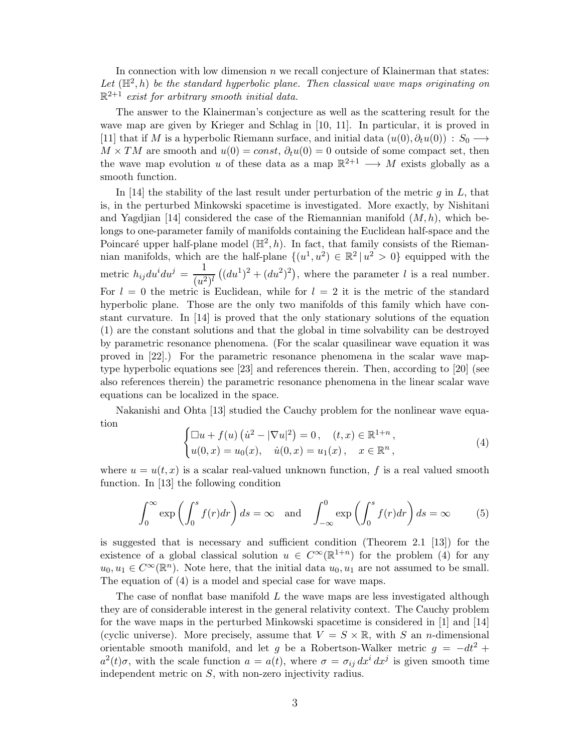In connection with low dimension  $n$  we recall conjecture of Klainerman that states: Let  $(\mathbb{H}^2, h)$  be the standard hyperbolic plane. Then classical wave maps originating on  $\mathbb{R}^{2+1}$  exist for arbitrary smooth initial data.

The answer to the Klainerman's conjecture as well as the scattering result for the wave map are given by Krieger and Schlag in [10, 11]. In particular, it is proved in [11] that if M is a hyperbolic Riemann surface, and initial data  $(u(0), \partial_t u(0)) : S_0 \longrightarrow$  $M \times TM$  are smooth and  $u(0) = const$ ,  $\partial_t u(0) = 0$  outside of some compact set, then the wave map evolution u of these data as a map  $\mathbb{R}^{2+1} \longrightarrow M$  exists globally as a smooth function.

In [14] the stability of the last result under perturbation of the metric  $g$  in  $L$ , that is, in the perturbed Minkowski spacetime is investigated. More exactly, by Nishitani and Yagdjian [14] considered the case of the Riemannian manifold  $(M, h)$ , which belongs to one-parameter family of manifolds containing the Euclidean half-space and the Poincaré upper half-plane model  $(\mathbb{H}^2, h)$ . In fact, that family consists of the Riemannian manifolds, which are the half-plane  $\{(u^1, u^2) \in \mathbb{R}^2 \mid u^2 > 0\}$  equipped with the metric  $h_{ij}du^i du^j = \frac{1}{\sqrt{a^2}}$  $\frac{1}{(u^2)^l} ((du^1)^2 + (du^2)^2)$ , where the parameter l is a real number. For  $l = 0$  the metric is Euclidean, while for  $l = 2$  it is the metric of the standard hyperbolic plane. Those are the only two manifolds of this family which have constant curvature. In [14] is proved that the only stationary solutions of the equation (1) are the constant solutions and that the global in time solvability can be destroyed by parametric resonance phenomena. (For the scalar quasilinear wave equation it was proved in [22].) For the parametric resonance phenomena in the scalar wave maptype hyperbolic equations see [23] and references therein. Then, according to [20] (see also references therein) the parametric resonance phenomena in the linear scalar wave equations can be localized in the space.

Nakanishi and Ohta [13] studied the Cauchy problem for the nonlinear wave equation

$$
\begin{cases} \Box u + f(u) (u^2 - |\nabla u|^2) = 0, & (t, x) \in \mathbb{R}^{1+n}, \\ u(0, x) = u_0(x), & \dot{u}(0, x) = u_1(x), & x \in \mathbb{R}^n, \end{cases}
$$
(4)

where  $u = u(t, x)$  is a scalar real-valued unknown function, f is a real valued smooth function. In [13] the following condition

$$
\int_0^\infty \exp\left(\int_0^s f(r)dr\right)ds = \infty \quad \text{and} \quad \int_{-\infty}^0 \exp\left(\int_0^s f(r)dr\right)ds = \infty \tag{5}
$$

is suggested that is necessary and sufficient condition (Theorem 2.1 [13]) for the existence of a global classical solution  $u \in C^{\infty}(\mathbb{R}^{1+n})$  for the problem (4) for any  $u_0, u_1 \in C^{\infty}(\mathbb{R}^n)$ . Note here, that the initial data  $u_0, u_1$  are not assumed to be small. The equation of (4) is a model and special case for wave maps.

The case of nonflat base manifold  $L$  the wave maps are less investigated although they are of considerable interest in the general relativity context. The Cauchy problem for the wave maps in the perturbed Minkowski spacetime is considered in [1] and [14] (cyclic universe). More precisely, assume that  $V = S \times \mathbb{R}$ , with S an *n*-dimensional orientable smooth manifold, and let g be a Robertson-Walker metric  $g = -dt^2$  +  $a^2(t)\sigma$ , with the scale function  $a = a(t)$ , where  $\sigma = \sigma_{ij} dx^i dx^j$  is given smooth time independent metric on S, with non-zero injectivity radius.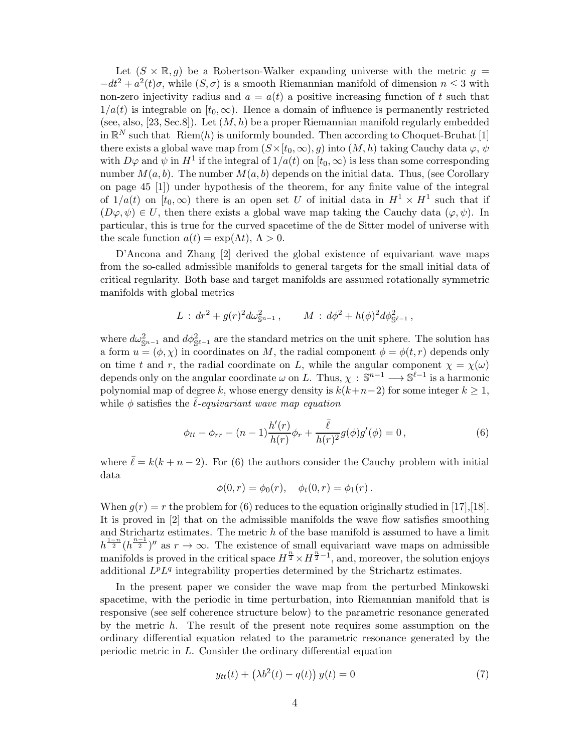Let  $(S \times \mathbb{R}, q)$  be a Robertson-Walker expanding universe with the metric  $q =$  $-dt^2 + a^2(t)\sigma$ , while  $(S,\sigma)$  is a smooth Riemannian manifold of dimension  $n \leq 3$  with non-zero injectivity radius and  $a = a(t)$  a positive increasing function of t such that  $1/a(t)$  is integrable on  $[t_0,\infty)$ . Hence a domain of influence is permanently restricted (see, also, [23, Sec.8]). Let  $(M, h)$  be a proper Riemannian manifold regularly embedded in  $\mathbb{R}^N$  such that  $\text{Riem}(h)$  is uniformly bounded. Then according to Choquet-Bruhat [1] there exists a global wave map from  $(S \times [t_0, \infty), g)$  into  $(M, h)$  taking Cauchy data  $\varphi, \psi$ with  $D\varphi$  and  $\psi$  in  $H^1$  if the integral of  $1/a(t)$  on  $[t_0, \infty)$  is less than some corresponding number  $M(a, b)$ . The number  $M(a, b)$  depends on the initial data. Thus, (see Corollary on page 45 [1]) under hypothesis of the theorem, for any finite value of the integral of  $1/a(t)$  on  $[t_0,\infty)$  there is an open set U of initial data in  $H^1 \times H^1$  such that if  $(D\varphi, \psi) \in U$ , then there exists a global wave map taking the Cauchy data  $(\varphi, \psi)$ . In particular, this is true for the curved spacetime of the de Sitter model of universe with the scale function  $a(t) = \exp(\Lambda t)$ ,  $\Lambda > 0$ .

D'Ancona and Zhang [2] derived the global existence of equivariant wave maps from the so-called admissible manifolds to general targets for the small initial data of critical regularity. Both base and target manifolds are assumed rotationally symmetric manifolds with global metrics

$$
L : dr2 + g(r)2 d\omega_{\mathbb{S}^{n-1}}2, \qquad M : d\phi2 + h(\phi)2 d\phi_{\mathbb{S}^{\ell-1}}2,
$$

where  $d\omega_{\mathbb{S}^{n-1}}^2$  and  $d\phi_{\mathbb{S}^{\ell-1}}^2$  are the standard metrics on the unit sphere. The solution has a form  $u = (\phi, \chi)$  in coordinates on M, the radial component  $\phi = \phi(t, r)$  depends only on time t and r, the radial coordinate on L, while the angular component  $\chi = \chi(\omega)$ depends only on the angular coordinate  $\omega$  on L. Thus,  $\chi : \mathbb{S}^{n-1} \longrightarrow \mathbb{S}^{\ell-1}$  is a harmonic polynomial map of degree k, whose energy density is  $k(k+n-2)$  for some integer  $k \geq 1$ , while  $\phi$  satisfies the  $\ell$ -equivariant wave map equation

$$
\phi_{tt} - \phi_{rr} - (n-1)\frac{h'(r)}{h(r)}\phi_r + \frac{\bar{\ell}}{h(r)^2}g(\phi)g'(\phi) = 0, \qquad (6)
$$

where  $\bar{\ell} = k(k+n-2)$ . For (6) the authors consider the Cauchy problem with initial data

$$
\phi(0,r) = \phi_0(r), \quad \phi_t(0,r) = \phi_1(r).
$$

When  $g(r) = r$  the problem for (6) reduces to the equation originally studied in [17], [18]. It is proved in [2] that on the admissible manifolds the wave flow satisfies smoothing and Strichartz estimates. The metric h of the base manifold is assumed to have a limit  $h^{\frac{1-n}{2}}(h^{\frac{n-1}{2}})''$  as  $r \to \infty$ . The existence of small equivariant wave maps on admissible manifolds is proved in the critical space  $H^{\frac{n}{2}} \times H^{\frac{n}{2}-1}$ , and, moreover, the solution enjoys additional  $L^p L^q$  integrability properties determined by the Strichartz estimates.

In the present paper we consider the wave map from the perturbed Minkowski spacetime, with the periodic in time perturbation, into Riemannian manifold that is responsive (see self coherence structure below) to the parametric resonance generated by the metric  $h$ . The result of the present note requires some assumption on the ordinary differential equation related to the parametric resonance generated by the periodic metric in L. Consider the ordinary differential equation

$$
y_{tt}(t) + \left(\lambda b^2(t) - q(t)\right)y(t) = 0\tag{7}
$$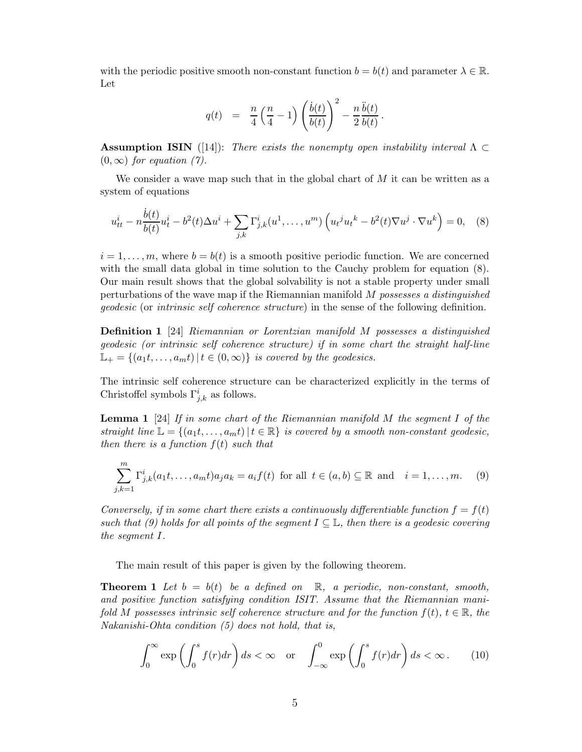with the periodic positive smooth non-constant function  $b = b(t)$  and parameter  $\lambda \in \mathbb{R}$ . Let

$$
q(t) = \frac{n}{4}\left(\frac{n}{4}-1\right)\left(\frac{\dot{b}(t)}{b(t)}\right)^2 - \frac{n}{2}\frac{\ddot{b}(t)}{b(t)}.
$$

**Assumption ISIN** ([14]): There exists the nonempty open instability interval  $\Lambda \subset$  $(0, \infty)$  for equation (7).

We consider a wave map such that in the global chart of  $M$  it can be written as a system of equations

$$
u_{tt}^{i} - n\frac{\dot{b}(t)}{b(t)}u_{t}^{i} - b^{2}(t)\Delta u^{i} + \sum_{j,k}\Gamma_{j,k}^{i}(u^{1},...,u^{m})\left(u_{t}^{j}u_{t}^{k} - b^{2}(t)\nabla u^{j}\cdot\nabla u^{k}\right) = 0, \quad (8)
$$

 $i = 1, \ldots, m$ , where  $b = b(t)$  is a smooth positive periodic function. We are concerned with the small data global in time solution to the Cauchy problem for equation (8). Our main result shows that the global solvability is not a stable property under small perturbations of the wave map if the Riemannian manifold M possesses a distinguished geodesic (or intrinsic self coherence structure) in the sense of the following definition.

Definition 1 [24] Riemannian or Lorentzian manifold M possesses a distinguished geodesic (or intrinsic self coherence structure) if in some chart the straight half-line  $\mathbb{L}_{+} = \{(a_1t, \ldots, a_mt) | t \in (0, \infty)\}\$ is covered by the geodesics.

The intrinsic self coherence structure can be characterized explicitly in the terms of Christoffel symbols  $\Gamma^i_{j,k}$  as follows.

**Lemma 1** [24] If in some chart of the Riemannian manifold  $M$  the segment  $I$  of the straight line  $\mathbb{L} = \{(a_1t, \ldots, a_mt) | t \in \mathbb{R}\}\$  is covered by a smooth non-constant geodesic, then there is a function  $f(t)$  such that

$$
\sum_{j,k=1}^{m} \Gamma_{j,k}^{i}(a_1t,\ldots,a_mt)a_ja_k = a_if(t) \text{ for all } t \in (a,b) \subseteq \mathbb{R} \text{ and } i = 1,\ldots,m. \tag{9}
$$

Conversely, if in some chart there exists a continuously differentiable function  $f = f(t)$ such that (9) holds for all points of the segment  $I \subseteq \mathbb{L}$ , then there is a geodesic covering the segment I.

The main result of this paper is given by the following theorem.

**Theorem 1** Let  $b = b(t)$  be a defined on  $\mathbb{R}$ , a periodic, non-constant, smooth, and positive function satisfying condition ISIT. Assume that the Riemannian manifold M possesses intrinsic self coherence structure and for the function  $f(t)$ ,  $t \in \mathbb{R}$ , the Nakanishi-Ohta condition (5) does not hold, that is,

$$
\int_0^\infty \exp\left(\int_0^s f(r)dr\right)ds < \infty \quad \text{or} \quad \int_{-\infty}^0 \exp\left(\int_0^s f(r)dr\right)ds < \infty. \tag{10}
$$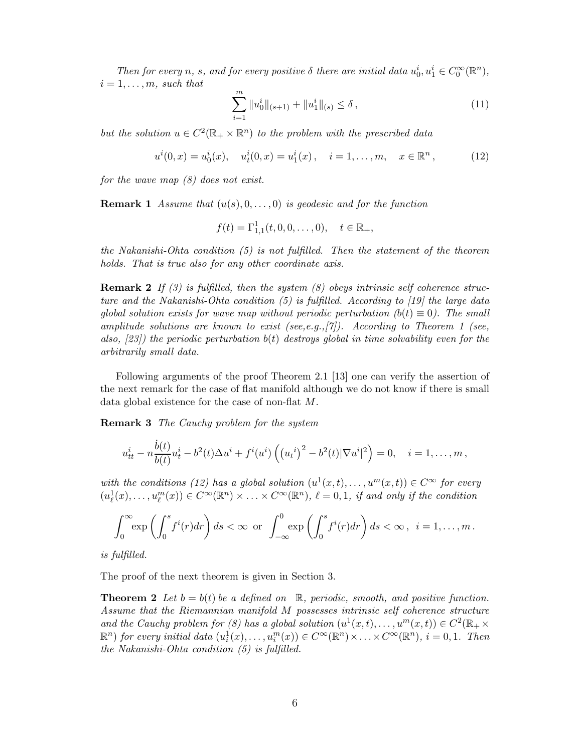Then for every n, s, and for every positive  $\delta$  there are initial data  $u_0^i, u_1^i \in C_0^{\infty}(\mathbb{R}^n)$ ,  $i = 1, \ldots, m$ , such that

$$
\sum_{i=1}^{m} \|u_0^i\|_{(s+1)} + \|u_1^i\|_{(s)} \le \delta ,\qquad (11)
$$

but the solution  $u \in C^2(\mathbb{R}_+ \times \mathbb{R}^n)$  to the problem with the prescribed data

$$
u^{i}(0,x) = u_{0}^{i}(x), \quad u_{t}^{i}(0,x) = u_{1}^{i}(x), \quad i = 1,\ldots,m, \quad x \in \mathbb{R}^{n}, \tag{12}
$$

for the wave map (8) does not exist.

**Remark 1** Assume that  $(u(s), 0, \ldots, 0)$  is geodesic and for the function

$$
f(t) = \Gamma_{1,1}^1(t,0,0,\ldots,0), \quad t \in \mathbb{R}_+,
$$

the Nakanishi-Ohta condition (5) is not fulfilled. Then the statement of the theorem holds. That is true also for any other coordinate axis.

**Remark 2** If (3) is fulfilled, then the system (8) obeys intrinsic self coherence structure and the Nakanishi-Ohta condition (5) is fulfilled. According to [19] the large data global solution exists for wave map without periodic perturbation  $(b(t) \equiv 0)$ . The small amplitude solutions are known to exist (see, e.g.,  $[\gamma]$ ). According to Theorem 1 (see, also,  $(23)$  the periodic perturbation  $b(t)$  destroys global in time solvability even for the arbitrarily small data.

Following arguments of the proof Theorem 2.1 [13] one can verify the assertion of the next remark for the case of flat manifold although we do not know if there is small data global existence for the case of non-flat M.

Remark 3 The Cauchy problem for the system

$$
u_{tt}^i - n\frac{\dot{b}(t)}{b(t)}u_t^i - b^2(t)\Delta u^i + f^i(u^i)\left(\left(u_t^i\right)^2 - b^2(t)|\nabla u^i|^2\right) = 0, \quad i = 1, \dots, m,
$$

with the conditions (12) has a global solution  $(u^1(x,t),...,u^m(x,t)) \in C^{\infty}$  for every  $(u^1_\ell(x),\ldots,u^m_\ell(x))\in C^\infty(\mathbb{R}^n)\times\ldots\times C^\infty(\mathbb{R}^n)$ ,  $\ell=0,1$ , if and only if the condition

$$
\int_0^\infty \exp\left(\int_0^s f^i(r)dr\right)ds < \infty \text{ or } \int_{-\infty}^0 \exp\left(\int_0^s f^i(r)dr\right)ds < \infty, \ \ i=1,\ldots,m.
$$

is fulfilled.

The proof of the next theorem is given in Section 3.

**Theorem 2** Let  $b = b(t)$  be a defined on  $\mathbb{R}$ , periodic, smooth, and positive function. Assume that the Riemannian manifold M possesses intrinsic self coherence structure and the Cauchy problem for (8) has a global solution  $(u^1(x,t),...,u^m(x,t)) \in C^2(\mathbb{R}_+ \times$  $\mathbb{R}^n$ ) for every initial data  $(u_i^1(x),...,u_i^m(x)) \in C^\infty(\mathbb{R}^n) \times ... \times C^\infty(\mathbb{R}^n)$ ,  $i = 0,1$ . Then the Nakanishi-Ohta condition (5) is fulfilled.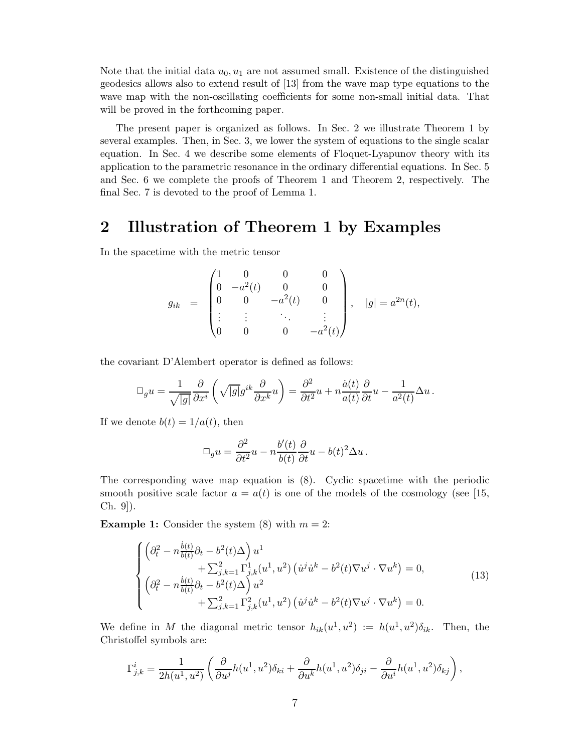Note that the initial data  $u_0, u_1$  are not assumed small. Existence of the distinguished geodesics allows also to extend result of [13] from the wave map type equations to the wave map with the non-oscillating coefficients for some non-small initial data. That will be proved in the forthcoming paper.

The present paper is organized as follows. In Sec. 2 we illustrate Theorem 1 by several examples. Then, in Sec. 3, we lower the system of equations to the single scalar equation. In Sec. 4 we describe some elements of Floquet-Lyapunov theory with its application to the parametric resonance in the ordinary differential equations. In Sec. 5 and Sec. 6 we complete the proofs of Theorem 1 and Theorem 2, respectively. The final Sec. 7 is devoted to the proof of Lemma 1.

### 2 Illustration of Theorem 1 by Examples

In the spacetime with the metric tensor

$$
g_{ik} = \begin{pmatrix} 1 & 0 & 0 & 0 \\ 0 & -a^2(t) & 0 & 0 \\ 0 & 0 & -a^2(t) & 0 \\ \vdots & \vdots & \ddots & \vdots \\ 0 & 0 & 0 & -a^2(t) \end{pmatrix}, \quad |g| = a^{2n}(t),
$$

the covariant D'Alembert operator is defined as follows:

$$
\Box_g u = \frac{1}{\sqrt{|g|}} \frac{\partial}{\partial x^i} \left( \sqrt{|g|} g^{ik} \frac{\partial}{\partial x^k} u \right) = \frac{\partial^2}{\partial t^2} u + n \frac{\dot{a}(t)}{a(t)} \frac{\partial}{\partial t} u - \frac{1}{a^2(t)} \Delta u.
$$

If we denote  $b(t) = 1/a(t)$ , then

$$
\Box_g u = \frac{\partial^2}{\partial t^2} u - n \frac{b'(t)}{b(t)} \frac{\partial}{\partial t} u - b(t)^2 \Delta u.
$$

The corresponding wave map equation is (8). Cyclic spacetime with the periodic smooth positive scale factor  $a = a(t)$  is one of the models of the cosmology (see [15, Ch. 9]).

**Example 1:** Consider the system (8) with  $m = 2$ :

$$
\begin{cases}\n\left(\partial_t^2 - n \frac{\dot{b}(t)}{b(t)} \partial_t - b^2(t) \Delta\right) u^1 \\
+ \sum_{j,k=1}^2 \Gamma_{j,k}^1(u^1, u^2) \left(\dot{u}^j \dot{u}^k - b^2(t) \nabla u^j \cdot \nabla u^k\right) = 0, \\
\left(\partial_t^2 - n \frac{\dot{b}(t)}{b(t)} \partial_t - b^2(t) \Delta\right) u^2 \\
+ \sum_{j,k=1}^2 \Gamma_{j,k}^2(u^1, u^2) \left(\dot{u}^j \dot{u}^k - b^2(t) \nabla u^j \cdot \nabla u^k\right) = 0.\n\end{cases} \tag{13}
$$

We define in M the diagonal metric tensor  $h_{ik}(u^1, u^2) := h(u^1, u^2) \delta_{ik}$ . Then, the Christoffel symbols are:

$$
\Gamma^{i}_{j,k} = \frac{1}{2h(u^1, u^2)} \left( \frac{\partial}{\partial u^j} h(u^1, u^2) \delta_{ki} + \frac{\partial}{\partial u^k} h(u^1, u^2) \delta_{ji} - \frac{\partial}{\partial u^i} h(u^1, u^2) \delta_{kj} \right),
$$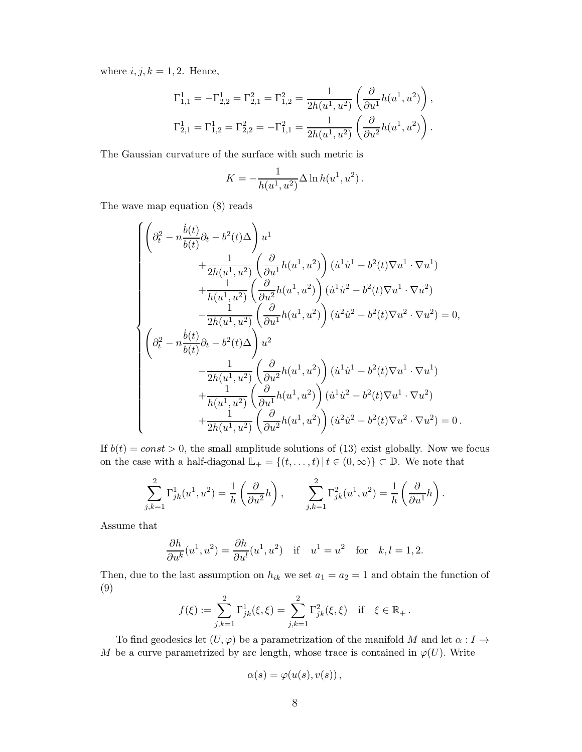where  $i, j, k = 1, 2$ . Hence,

$$
\Gamma_{1,1}^1 = -\Gamma_{2,2}^1 = \Gamma_{2,1}^2 = \Gamma_{1,2}^2 = \frac{1}{2h(u^1, u^2)} \left( \frac{\partial}{\partial u^1} h(u^1, u^2) \right),
$$
  
\n
$$
\Gamma_{2,1}^1 = \Gamma_{1,2}^1 = \Gamma_{2,2}^2 = -\Gamma_{1,1}^2 = \frac{1}{2h(u^1, u^2)} \left( \frac{\partial}{\partial u^2} h(u^1, u^2) \right).
$$

The Gaussian curvature of the surface with such metric is

$$
K = -\frac{1}{h(u^1, u^2)} \Delta \ln h(u^1, u^2).
$$

The wave map equation (8) reads

$$
\begin{cases} \left( \partial_t^2 - n \frac{\dot{b}(t)}{b(t)} \partial_t - b^2(t) \Delta \right) u^1 \\qquad \qquad + \frac{1}{2h(u^1, u^2)} \left( \frac{\partial}{\partial u^1} h(u^1, u^2) \right) (\dot{u}^1 \dot{u}^1 - b^2(t) \nabla u^1 \cdot \nabla u^1) \\qquad \qquad + \frac{1}{h(u^1, u^2)} \left( \frac{\partial}{\partial u^2} h(u^1, u^2) \right) (\dot{u}^1 \dot{u}^2 - b^2(t) \nabla u^1 \cdot \nabla u^2) \\qquad \qquad - \frac{1}{2h(u^1, u^2)} \left( \frac{\partial}{\partial u^1} h(u^1, u^2) \right) (\dot{u}^2 \dot{u}^2 - b^2(t) \nabla u^2 \cdot \nabla u^2) = 0, \\ \left( \partial_t^2 - n \frac{\dot{b}(t)}{b(t)} \partial_t - b^2(t) \Delta \right) u^2 \\qquad \qquad - \frac{1}{2h(u^1, u^2)} \left( \frac{\partial}{\partial u^2} h(u^1, u^2) \right) (\dot{u}^1 \dot{u}^1 - b^2(t) \nabla u^1 \cdot \nabla u^1) \\qquad \qquad + \frac{1}{h(u^1, u^2)} \left( \frac{\partial}{\partial u^1} h(u^1, u^2) \right) (\dot{u}^1 \dot{u}^2 - b^2(t) \nabla u^1 \cdot \nabla u^2) \\qquad \qquad + \frac{1}{2h(u^1, u^2)} \left( \frac{\partial}{\partial u^2} h(u^1, u^2) \right) (\dot{u}^2 \dot{u}^2 - b^2(t) \nabla u^2 \cdot \nabla u^2) = 0 \, . \end{cases}
$$

If  $b(t) = const > 0$ , the small amplitude solutions of (13) exist globally. Now we focus on the case with a half-diagonal  $\mathbb{L}_+ = \{(t, \ldots, t) | t \in (0, \infty)\} \subset \mathbb{D}$ . We note that

$$
\sum_{j,k=1}^2 \Gamma_{jk}^1(u^1, u^2) = \frac{1}{h} \left( \frac{\partial}{\partial u^2} h \right), \qquad \sum_{j,k=1}^2 \Gamma_{jk}^2(u^1, u^2) = \frac{1}{h} \left( \frac{\partial}{\partial u^1} h \right).
$$

Assume that

$$
\frac{\partial h}{\partial u^k}(u^1, u^2) = \frac{\partial h}{\partial u^l}(u^1, u^2) \quad \text{if} \quad u^1 = u^2 \quad \text{for} \quad k, l = 1, 2.
$$

Then, due to the last assumption on  $h_{ik}$  we set  $a_1 = a_2 = 1$  and obtain the function of (9)

$$
f(\xi) := \sum_{j,k=1}^{2} \Gamma_{jk}^{1}(\xi,\xi) = \sum_{j,k=1}^{2} \Gamma_{jk}^{2}(\xi,\xi) \text{ if } \xi \in \mathbb{R}_{+}.
$$

To find geodesics let  $(U, \varphi)$  be a parametrization of the manifold M and let  $\alpha : I \to$ M be a curve parametrized by arc length, whose trace is contained in  $\varphi(U)$ . Write

$$
\alpha(s) = \varphi(u(s), v(s)),
$$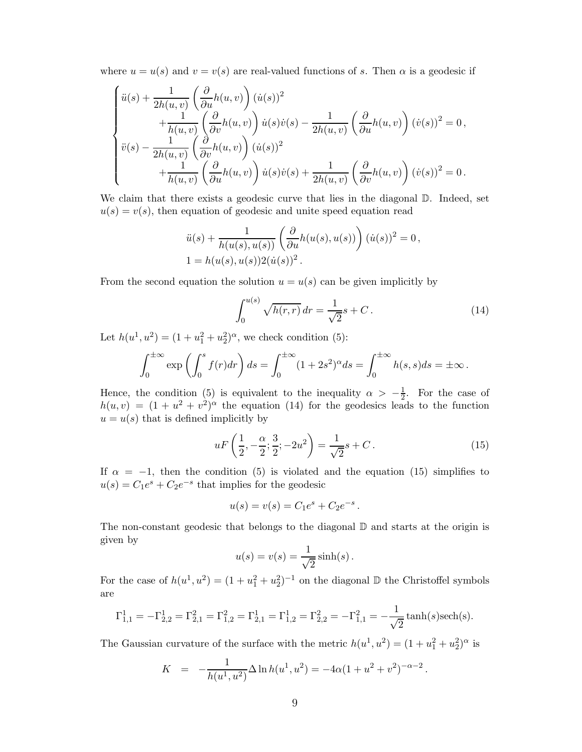where  $u = u(s)$  and  $v = v(s)$  are real-valued functions of s. Then  $\alpha$  is a geodesic if

$$
\begin{cases}\n\ddot{u}(s) + \frac{1}{2h(u,v)} \left(\frac{\partial}{\partial u} h(u,v)\right) (\dot{u}(s))^2 \\
+ \frac{1}{h(u,v)} \left(\frac{\partial}{\partial v} h(u,v)\right) \dot{u}(s) \dot{v}(s) - \frac{1}{2h(u,v)} \left(\frac{\partial}{\partial u} h(u,v)\right) (\dot{v}(s))^2 = 0, \\
\ddot{v}(s) - \frac{1}{2h(u,v)} \left(\frac{\partial}{\partial v} h(u,v)\right) (\dot{u}(s))^2 \\
+ \frac{1}{h(u,v)} \left(\frac{\partial}{\partial u} h(u,v)\right) \dot{u}(s) \dot{v}(s) + \frac{1}{2h(u,v)} \left(\frac{\partial}{\partial v} h(u,v)\right) (\dot{v}(s))^2 = 0.\n\end{cases}
$$

We claim that there exists a geodesic curve that lies in the diagonal  $\mathbb{D}$ . Indeed, set  $u(s) = v(s)$ , then equation of geodesic and unite speed equation read

$$
\ddot{u}(s) + \frac{1}{h(u(s), u(s))} \left( \frac{\partial}{\partial u} h(u(s), u(s)) \right) (\dot{u}(s))^2 = 0,
$$
  

$$
1 = h(u(s), u(s)) 2(\dot{u}(s))^2.
$$

From the second equation the solution  $u = u(s)$  can be given implicitly by

$$
\int_0^{u(s)} \sqrt{h(r,r)} \, dr = \frac{1}{\sqrt{2}} s + C \,. \tag{14}
$$

Let  $h(u^1, u^2) = (1 + u_1^2 + u_2^2)^{\alpha}$ , we check condition (5):

$$
\int_0^{\pm\infty} \exp\left(\int_0^s f(r)dr\right)ds = \int_0^{\pm\infty} (1+2s^2)^\alpha ds = \int_0^{\pm\infty} h(s,s)ds = \pm\infty.
$$

Hence, the condition (5) is equivalent to the inequality  $\alpha > -\frac{1}{2}$  $\frac{1}{2}$ . For the case of  $h(u, v) = (1 + u^2 + v^2)^{\alpha}$  the equation (14) for the geodesics leads to the function  $u = u(s)$  that is defined implicitly by

$$
uF\left(\frac{1}{2}, -\frac{\alpha}{2}; \frac{3}{2}; -2u^2\right) = \frac{1}{\sqrt{2}}s + C.
$$
 (15)

If  $\alpha = -1$ , then the condition (5) is violated and the equation (15) simplifies to  $u(s) = C_1 e^s + C_2 e^{-s}$  that implies for the geodesic

$$
u(s) = v(s) = C_1 e^s + C_2 e^{-s}.
$$

The non-constant geodesic that belongs to the diagonal  $\mathbb D$  and starts at the origin is given by

$$
u(s) = v(s) = \frac{1}{\sqrt{2}} \sinh(s).
$$

For the case of  $h(u^1, u^2) = (1 + u_1^2 + u_2^2)^{-1}$  on the diagonal  $\mathbb D$  the Christoffel symbols are

$$
\Gamma_{1,1}^1 = -\Gamma_{2,2}^1 = \Gamma_{2,1}^2 = \Gamma_{1,2}^2 = \Gamma_{2,1}^1 = \Gamma_{1,2}^1 = \Gamma_{2,2}^2 = -\Gamma_{1,1}^2 = -\frac{1}{\sqrt{2}}\tanh(s)\text{sech}(s).
$$

The Gaussian curvature of the surface with the metric  $h(u^1, u^2) = (1 + u_1^2 + u_2^2)^{\alpha}$  is

$$
K = -\frac{1}{h(u^1, u^2)} \Delta \ln h(u^1, u^2) = -4\alpha (1 + u^2 + v^2)^{-\alpha - 2}.
$$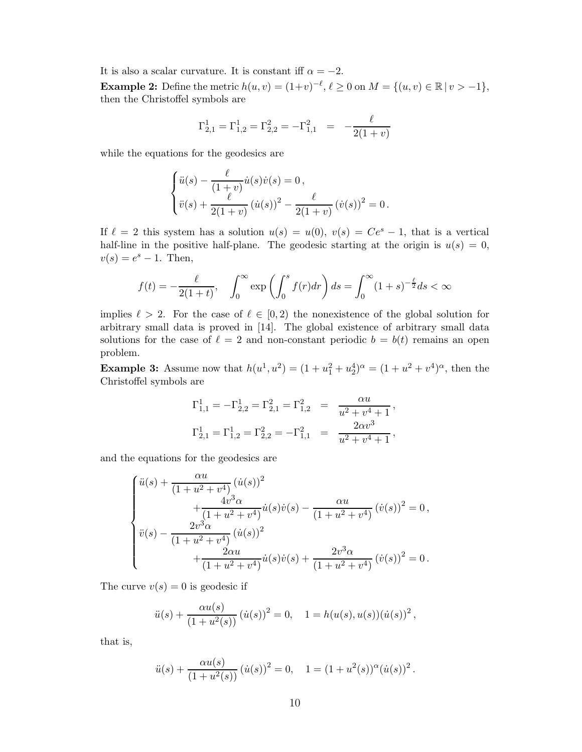It is also a scalar curvature. It is constant iff  $\alpha = -2$ . **Example 2:** Define the metric  $h(u, v) = (1+v)^{-\ell}, \ell \ge 0$  on  $M = \{(u, v) \in \mathbb{R} \mid v > -1\},\$ then the Christoffel symbols are

$$
\Gamma_{2,1}^1 = \Gamma_{1,2}^1 = \Gamma_{2,2}^2 = -\Gamma_{1,1}^2 = -\frac{\ell}{2(1+v)}
$$

while the equations for the geodesics are

$$
\begin{cases} \ddot{u}(s) - \frac{\ell}{(1+v)} \dot{u}(s) \dot{v}(s) = 0, \\ \ddot{v}(s) + \frac{\ell}{2(1+v)} (\dot{u}(s))^2 - \frac{\ell}{2(1+v)} (\dot{v}(s))^2 = 0. \end{cases}
$$

If  $\ell = 2$  this system has a solution  $u(s) = u(0), v(s) = Ce^s - 1$ , that is a vertical half-line in the positive half-plane. The geodesic starting at the origin is  $u(s) = 0$ ,  $v(s) = e^{s} - 1$ . Then,

$$
f(t) = -\frac{\ell}{2(1+t)}, \quad \int_0^\infty \exp\left(\int_0^s f(r)dr\right) ds = \int_0^\infty (1+s)^{-\frac{\ell}{2}} ds < \infty
$$

implies  $\ell > 2$ . For the case of  $\ell \in [0,2)$  the nonexistence of the global solution for arbitrary small data is proved in [14]. The global existence of arbitrary small data solutions for the case of  $\ell = 2$  and non-constant periodic  $b = b(t)$  remains an open problem.

**Example 3:** Assume now that  $h(u^1, u^2) = (1 + u_1^2 + u_2^4)^{\alpha} = (1 + u^2 + v^4)^{\alpha}$ , then the Christoffel symbols are

$$
\begin{aligned} \Gamma^1_{1,1} &= -\Gamma^1_{2,2} = \Gamma^2_{2,1} = \Gamma^2_{1,2} &=& \frac{\alpha u}{u^2 + v^4 + 1}\,,\\ \Gamma^1_{2,1} &= \Gamma^1_{1,2} = \Gamma^2_{2,2} = -\Gamma^2_{1,1} &=& \frac{2\alpha v^3}{u^2 + v^4 + 1}\,, \end{aligned}
$$

and the equations for the geodesics are

$$
\begin{cases}\n\ddot{u}(s) + \frac{\alpha u}{(1+u^2+v^4)} (\dot{u}(s))^2 \\
+ \frac{4v^3 \alpha}{(1+u^2+v^4)} \dot{u}(s) \dot{v}(s) - \frac{\alpha u}{(1+u^2+v^4)} (\dot{v}(s))^2 = 0, \\
\ddot{v}(s) - \frac{2v^3 \alpha}{(1+u^2+v^4)} (\dot{u}(s))^2 \\
+ \frac{2\alpha u}{(1+u^2+v^4)} \dot{u}(s) \dot{v}(s) + \frac{2v^3 \alpha}{(1+u^2+v^4)} (\dot{v}(s))^2 = 0.\n\end{cases}
$$

The curve  $v(s) = 0$  is geodesic if

$$
\ddot{u}(s) + \frac{\alpha u(s)}{(1+u^2(s))} (\dot{u}(s))^2 = 0, \quad 1 = h(u(s), u(s))(\dot{u}(s))^2,
$$

that is,

$$
\ddot{u}(s) + \frac{\alpha u(s)}{(1+u^2(s))} (\dot{u}(s))^2 = 0, \quad 1 = (1+u^2(s))^{\alpha} (\dot{u}(s))^2.
$$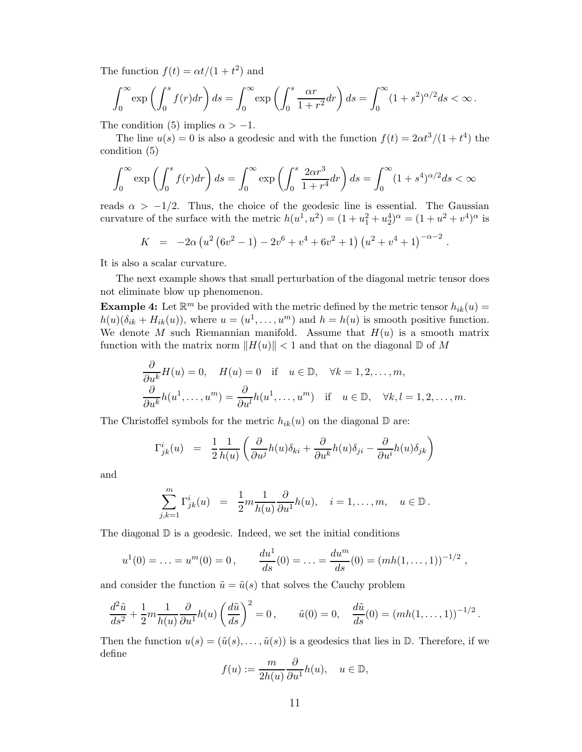The function  $f(t) = \alpha t/(1 + t^2)$  and

$$
\int_0^\infty \exp\left(\int_0^s f(r)dr\right)ds = \int_0^\infty \exp\left(\int_0^s \frac{\alpha r}{1+r^2}dr\right)ds = \int_0^\infty (1+s^2)^{\alpha/2}ds < \infty.
$$

The condition (5) implies  $\alpha > -1$ .

The line  $u(s) = 0$  is also a geodesic and with the function  $f(t) = 2\alpha t^3/(1 + t^4)$  the condition (5)

$$
\int_0^\infty \exp\left(\int_0^s f(r)dr\right)ds = \int_0^\infty \exp\left(\int_0^s \frac{2\alpha r^3}{1+r^4}dr\right)ds = \int_0^\infty (1+s^4)^{\alpha/2}ds < \infty
$$

reads  $\alpha > -1/2$ . Thus, the choice of the geodesic line is essential. The Gaussian curvature of the surface with the metric  $h(u^1, u^2) = (1 + u_1^2 + u_2^4)^{\alpha} = (1 + u^2 + v^4)^{\alpha}$  is

$$
K = -2\alpha \left( u^2 \left(6v^2 - 1\right) - 2v^6 + v^4 + 6v^2 + 1 \right) \left( u^2 + v^4 + 1 \right)^{-\alpha - 2}
$$

.

It is also a scalar curvature.

The next example shows that small perturbation of the diagonal metric tensor does not eliminate blow up phenomenon.

**Example 4:** Let  $\mathbb{R}^m$  be provided with the metric defined by the metric tensor  $h_{ik}(u) =$  $h(u)(\delta_{ik} + H_{ik}(u))$ , where  $u = (u^1, \dots, u^m)$  and  $h = h(u)$  is smooth positive function. We denote M such Riemannian manifold. Assume that  $H(u)$  is a smooth matrix function with the matrix norm  $||H(u)|| < 1$  and that on the diagonal D of M

$$
\frac{\partial}{\partial u^k} H(u) = 0, \quad H(u) = 0 \quad \text{if} \quad u \in \mathbb{D}, \quad \forall k = 1, 2, \dots, m,
$$
  

$$
\frac{\partial}{\partial u^k} h(u^1, \dots, u^m) = \frac{\partial}{\partial u^l} h(u^1, \dots, u^m) \quad \text{if} \quad u \in \mathbb{D}, \quad \forall k, l = 1, 2, \dots, m.
$$

The Christoffel symbols for the metric  $h_{ik}(u)$  on the diagonal  $\mathbb D$  are:

$$
\Gamma^{i}_{jk}(u) \;\; = \;\; \frac{1}{2} \frac{1}{h(u)} \left( \frac{\partial}{\partial u^{j}} h(u) \delta_{ki} + \frac{\partial}{\partial u^{k}} h(u) \delta_{ji} - \frac{\partial}{\partial u^{i}} h(u) \delta_{jk} \right)
$$

and

$$
\sum_{j,k=1}^m \Gamma_{jk}^i(u) = \frac{1}{2}m \frac{1}{h(u)} \frac{\partial}{\partial u^1} h(u), \quad i = 1, \dots, m, \quad u \in \mathbb{D}.
$$

The diagonal  $\mathbb D$  is a geodesic. Indeed, we set the initial conditions

$$
u^1(0) = \ldots = u^m(0) = 0
$$
,  $\frac{du^1}{ds}(0) = \ldots = \frac{du^m}{ds}(0) = (mh(1,\ldots,1))^{-1/2}$ ,

and consider the function  $\tilde{u} = \tilde{u}(s)$  that solves the Cauchy problem

$$
\frac{d^2\tilde{u}}{ds^2} + \frac{1}{2}m\frac{1}{h(u)}\frac{\partial}{\partial u^1}h(u)\left(\frac{d\tilde{u}}{ds}\right)^2 = 0, \qquad \tilde{u}(0) = 0, \quad \frac{d\tilde{u}}{ds}(0) = (mh(1,\dots,1))^{-1/2}.
$$

Then the function  $u(s) = (\tilde{u}(s), \ldots, \tilde{u}(s))$  is a geodesics that lies in  $\mathbb{D}$ . Therefore, if we define

$$
f(u) := \frac{m}{2h(u)} \frac{\partial}{\partial u^1} h(u), \quad u \in \mathbb{D},
$$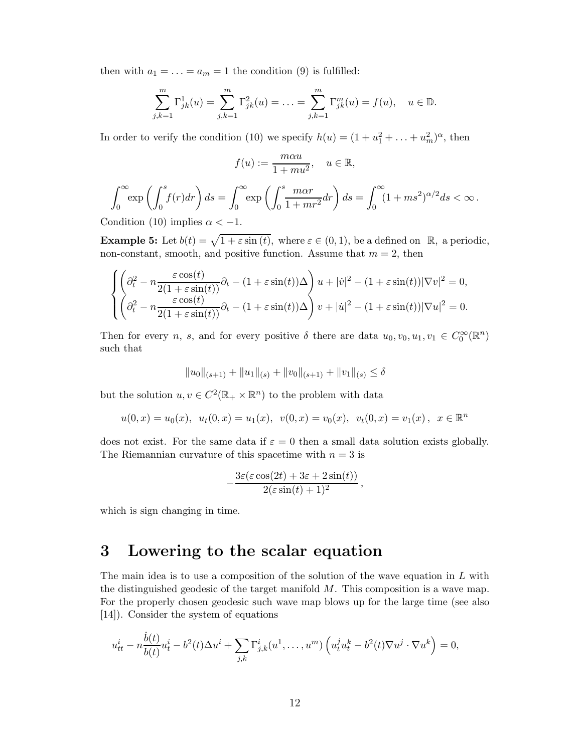then with  $a_1 = \ldots = a_m = 1$  the condition (9) is fulfilled:

$$
\sum_{j,k=1}^{m} \Gamma_{jk}^{1}(u) = \sum_{j,k=1}^{m} \Gamma_{jk}^{2}(u) = \ldots = \sum_{j,k=1}^{m} \Gamma_{jk}^{m}(u) = f(u), \quad u \in \mathbb{D}.
$$

In order to verify the condition (10) we specify  $h(u) = (1 + u_1^2 + \dots + u_m^2)^{\alpha}$ , then

$$
f(u) := \frac{m\alpha u}{1 + m u^2}, \quad u \in \mathbb{R},
$$

$$
\int_0^\infty \exp\left(\int_0^s f(r)dr\right)ds = \int_0^\infty \exp\left(\int_0^s \frac{m\alpha r}{1 + mr^2} dr\right)ds = \int_0^\infty (1 + ms^2)^{\alpha/2}ds < \infty.
$$

Condition (10) implies  $\alpha < -1$ .

**Example 5:** Let  $b(t) = \sqrt{1 + \varepsilon \sin(t)}$ , where  $\varepsilon \in (0, 1)$ , be a defined on R, a periodic, non-constant, smooth, and positive function. Assume that  $m = 2$ , then

$$
\begin{cases} \left(\partial_t^2 - n \frac{\varepsilon \cos(t)}{2(1 + \varepsilon \sin(t))} \partial_t - (1 + \varepsilon \sin(t))\Delta \right) u + |\dot{v}|^2 - (1 + \varepsilon \sin(t)) |\nabla v|^2 = 0, \\ \left(\partial_t^2 - n \frac{\varepsilon \cos(t)}{2(1 + \varepsilon \sin(t))} \partial_t - (1 + \varepsilon \sin(t))\Delta \right) v + |\dot{u}|^2 - (1 + \varepsilon \sin(t)) |\nabla u|^2 = 0. \end{cases}
$$

Then for every n, s, and for every positive  $\delta$  there are data  $u_0, v_0, u_1, v_1 \in C_0^{\infty}(\mathbb{R}^n)$ such that

$$
||u_0||_{(s+1)} + ||u_1||_{(s)} + ||v_0||_{(s+1)} + ||v_1||_{(s)} \le \delta
$$

but the solution  $u, v \in C^2(\mathbb{R}_+ \times \mathbb{R}^n)$  to the problem with data

$$
u(0,x) = u_0(x), \quad u_t(0,x) = u_1(x), \quad v(0,x) = v_0(x), \quad v_t(0,x) = v_1(x), \quad x \in \mathbb{R}^n
$$

does not exist. For the same data if  $\varepsilon = 0$  then a small data solution exists globally. The Riemannian curvature of this spacetime with  $n = 3$  is

$$
-\frac{3\varepsilon(\varepsilon\cos(2t)+3\varepsilon+2\sin(t))}{2(\varepsilon\sin(t)+1)^2},
$$

which is sign changing in time.

## 3 Lowering to the scalar equation

The main idea is to use a composition of the solution of the wave equation in  $L$  with the distinguished geodesic of the target manifold M. This composition is a wave map. For the properly chosen geodesic such wave map blows up for the large time (see also [14]). Consider the system of equations

$$
u_{tt}^i - n\frac{\dot{b}(t)}{b(t)}u_t^i - b^2(t)\Delta u^i + \sum_{j,k}\Gamma_{j,k}^i(u^1,\ldots,u^m)\left(u_t^ju_t^k - b^2(t)\nabla u^j\cdot\nabla u^k\right) = 0,
$$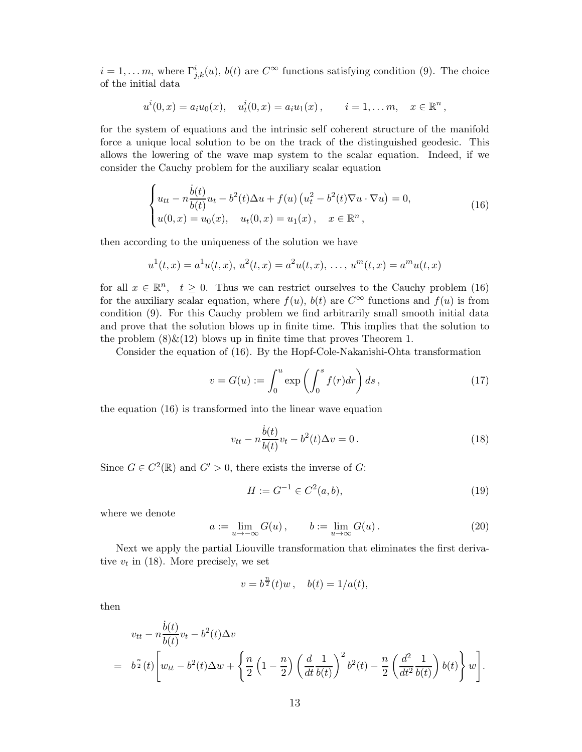$i = 1, \ldots m$ , where  $\Gamma^i_{j,k}(u)$ ,  $b(t)$  are  $C^{\infty}$  functions satisfying condition (9). The choice of the initial data

$$
u^{i}(0,x) = a_{i}u_{0}(x), \quad u^{i}_{t}(0,x) = a_{i}u_{1}(x), \qquad i = 1,... m, \quad x \in \mathbb{R}^{n},
$$

for the system of equations and the intrinsic self coherent structure of the manifold force a unique local solution to be on the track of the distinguished geodesic. This allows the lowering of the wave map system to the scalar equation. Indeed, if we consider the Cauchy problem for the auxiliary scalar equation

$$
\begin{cases}\n u_{tt} - n \frac{\dot{b}(t)}{b(t)} u_t - b^2(t) \Delta u + f(u) (u_t^2 - b^2(t) \nabla u \cdot \nabla u) = 0, \\
 u(0, x) = u_0(x), \quad u_t(0, x) = u_1(x), \quad x \in \mathbb{R}^n,\n\end{cases}
$$
\n(16)

then according to the uniqueness of the solution we have

$$
u^{1}(t,x) = a^{1}u(t,x), u^{2}(t,x) = a^{2}u(t,x), \ldots, u^{m}(t,x) = a^{m}u(t,x)
$$

for all  $x \in \mathbb{R}^n$ ,  $t \geq 0$ . Thus we can restrict ourselves to the Cauchy problem (16) for the auxiliary scalar equation, where  $f(u)$ ,  $b(t)$  are  $C^{\infty}$  functions and  $f(u)$  is from condition (9). For this Cauchy problem we find arbitrarily small smooth initial data and prove that the solution blows up in finite time. This implies that the solution to the problem  $(8) \& (12)$  blows up in finite time that proves Theorem 1.

Consider the equation of (16). By the Hopf-Cole-Nakanishi-Ohta transformation

$$
v = G(u) := \int_0^u \exp\left(\int_0^s f(r)dr\right)ds,\tag{17}
$$

the equation (16) is transformed into the linear wave equation

$$
v_{tt} - n\frac{\dot{b}(t)}{b(t)}v_t - b^2(t)\Delta v = 0.
$$
 (18)

Since  $G \in C^2(\mathbb{R})$  and  $G' > 0$ , there exists the inverse of  $G$ :

$$
H := G^{-1} \in C^2(a, b), \tag{19}
$$

where we denote

$$
a := \lim_{u \to -\infty} G(u), \qquad b := \lim_{u \to \infty} G(u).
$$
 (20)

Next we apply the partial Liouville transformation that eliminates the first derivative  $v_t$  in (18). More precisely, we set

$$
v = b^{\frac{n}{2}}(t)w
$$
,  $b(t) = 1/a(t)$ ,

then

$$
v_{tt} - n\frac{\dot{b}(t)}{b(t)}v_t - b^2(t)\Delta v
$$
  
=  $b^{\frac{n}{2}}(t)\left[w_{tt} - b^2(t)\Delta w + \left\{\frac{n}{2}\left(1 - \frac{n}{2}\right)\left(\frac{d}{dt}\frac{1}{b(t)}\right)^2 b^2(t) - \frac{n}{2}\left(\frac{d^2}{dt^2}\frac{1}{b(t)}\right)b(t)\right\}w\right].$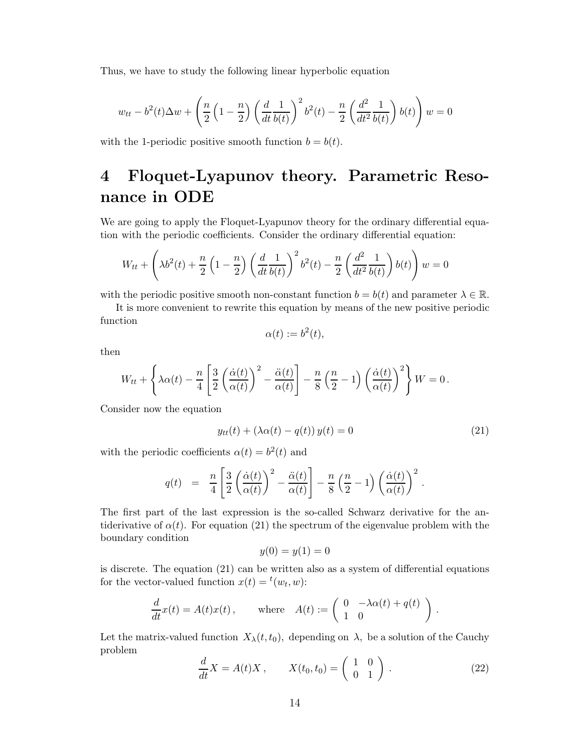Thus, we have to study the following linear hyperbolic equation

$$
w_{tt} - b^2(t)\Delta w + \left(\frac{n}{2}\left(1 - \frac{n}{2}\right)\left(\frac{d}{dt}\frac{1}{b(t)}\right)^2 b^2(t) - \frac{n}{2}\left(\frac{d^2}{dt^2}\frac{1}{b(t)}\right)b(t)\right)w = 0
$$

with the 1-periodic positive smooth function  $b = b(t)$ .

# 4 Floquet-Lyapunov theory. Parametric Resonance in ODE

We are going to apply the Floquet-Lyapunov theory for the ordinary differential equation with the periodic coefficients. Consider the ordinary differential equation:

$$
W_{tt} + \left(\lambda b^{2}(t) + \frac{n}{2} \left(1 - \frac{n}{2}\right) \left(\frac{d}{dt} \frac{1}{b(t)}\right)^{2} b^{2}(t) - \frac{n}{2} \left(\frac{d^{2}}{dt^{2}} \frac{1}{b(t)}\right) b(t)\right) w = 0
$$

with the periodic positive smooth non-constant function  $b = b(t)$  and parameter  $\lambda \in \mathbb{R}$ .

It is more convenient to rewrite this equation by means of the new positive periodic function

$$
\alpha(t) := b^2(t),
$$

then

$$
W_{tt} + \left\{\lambda \alpha(t) - \frac{n}{4} \left[ \frac{3}{2} \left( \frac{\dot{\alpha}(t)}{\alpha(t)} \right)^2 - \frac{\ddot{\alpha}(t)}{\alpha(t)} \right] - \frac{n}{8} \left( \frac{n}{2} - 1 \right) \left( \frac{\dot{\alpha}(t)}{\alpha(t)} \right)^2 \right\} W = 0.
$$

Consider now the equation

$$
y_{tt}(t) + (\lambda \alpha(t) - q(t)) y(t) = 0 \qquad (21)
$$

with the periodic coefficients  $\alpha(t) = b^2(t)$  and

$$
q(t) \;\; = \;\; \frac{n}{4} \left[ \frac{3}{2} \left( \frac{\dot{\alpha}(t)}{\alpha(t)} \right)^2 - \frac{\ddot{\alpha}(t)}{\alpha(t)} \right] - \frac{n}{8} \left( \frac{n}{2} - 1 \right) \left( \frac{\dot{\alpha}(t)}{\alpha(t)} \right)^2 \; .
$$

The first part of the last expression is the so-called Schwarz derivative for the antiderivative of  $\alpha(t)$ . For equation (21) the spectrum of the eigenvalue problem with the boundary condition

$$
y(0) = y(1) = 0
$$

is discrete. The equation (21) can be written also as a system of differential equations for the vector-valued function  $x(t) = {^t}(w_t, w)$ :

$$
\frac{d}{dt}x(t) = A(t)x(t), \quad \text{where} \quad A(t) := \begin{pmatrix} 0 & -\lambda \alpha(t) + q(t) \\ 1 & 0 \end{pmatrix}.
$$

Let the matrix-valued function  $X_{\lambda}(t,t_0)$ , depending on  $\lambda$ , be a solution of the Cauchy problem

$$
\frac{d}{dt}X = A(t)X, \qquad X(t_0, t_0) = \begin{pmatrix} 1 & 0 \\ 0 & 1 \end{pmatrix}.
$$
 (22)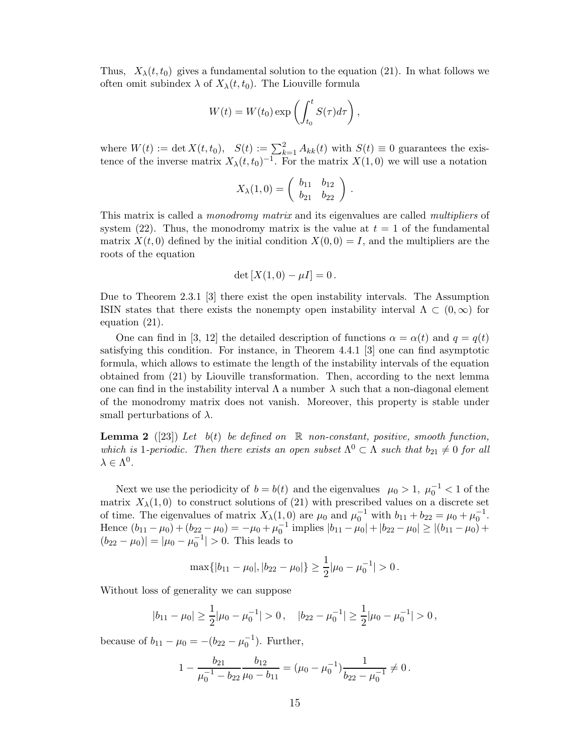Thus,  $X_{\lambda}(t,t_0)$  gives a fundamental solution to the equation (21). In what follows we often omit subindex  $\lambda$  of  $X_{\lambda}(t,t_0)$ . The Liouville formula

$$
W(t) = W(t_0) \exp\left(\int_{t_0}^t S(\tau) d\tau\right),\,
$$

where  $W(t) := \det X(t, t_0)$ ,  $S(t) := \sum_{k=1}^{n} A_{kk}(t)$  with  $S(t) \equiv 0$  guarantees the existence of the inverse matrix  $X_{\lambda}(t,t_0)^{-1}$ . For the matrix  $X(1,0)$  we will use a notation

$$
X_{\lambda}(1,0) = \left(\begin{array}{cc} b_{11} & b_{12} \\ b_{21} & b_{22} \end{array}\right) .
$$

This matrix is called a *monodromy matrix* and its eigenvalues are called *multipliers* of system (22). Thus, the monodromy matrix is the value at  $t = 1$  of the fundamental matrix  $X(t, 0)$  defined by the initial condition  $X(0, 0) = I$ , and the multipliers are the roots of the equation

$$
\det [X(1,0)-\mu I]=0.
$$

Due to Theorem 2.3.1 [3] there exist the open instability intervals. The Assumption ISIN states that there exists the nonempty open instability interval  $\Lambda \subset (0,\infty)$  for equation (21).

One can find in [3, 12] the detailed description of functions  $\alpha = \alpha(t)$  and  $q = q(t)$ satisfying this condition. For instance, in Theorem 4.4.1 [3] one can find asymptotic formula, which allows to estimate the length of the instability intervals of the equation obtained from (21) by Liouville transformation. Then, according to the next lemma one can find in the instability interval  $\Lambda$  a number  $\lambda$  such that a non-diagonal element of the monodromy matrix does not vanish. Moreover, this property is stable under small perturbations of  $\lambda$ .

**Lemma 2** ([23]) Let  $b(t)$  be defined on  $\mathbb R$  non-constant, positive, smooth function, which is 1-periodic. Then there exists an open subset  $\Lambda^0 \subset \Lambda$  such that  $b_{21} \neq 0$  for all  $\lambda \in \Lambda^0$ .

Next we use the periodicity of  $b = b(t)$  and the eigenvalues  $\mu_0 > 1$ ,  $\mu_0^{-1} < 1$  of the matrix  $X_{\lambda}(1,0)$  to construct solutions of (21) with prescribed values on a discrete set of time. The eigenvalues of matrix  $X_{\lambda}(1,0)$  are  $\mu_0$  and  $\mu_0^{-1}$  with  $b_{11} + b_{22} = \mu_0 + \mu_0^{-1}$ . Hence  $(b_{11} - \mu_0) + (b_{22} - \mu_0) = -\mu_0 + \mu_0^{-1}$  implies  $|b_{11} - \mu_0| + |b_{22} - \mu_0| \ge |(b_{11} - \mu_0) +$  $(b_{22} - \mu_0)| = |\mu_0 - \mu_0^{-1}| > 0$ . This leads to

$$
\max\{|b_{11} - \mu_0|, |b_{22} - \mu_0|\} \ge \frac{1}{2}|\mu_0 - \mu_0^{-1}| > 0.
$$

Without loss of generality we can suppose

$$
|b_{11} - \mu_0| \ge \frac{1}{2} |\mu_0 - \mu_0^{-1}| > 0, \quad |b_{22} - \mu_0^{-1}| \ge \frac{1}{2} |\mu_0 - \mu_0^{-1}| > 0,
$$

because of  $b_{11} - \mu_0 = -(b_{22} - \mu_0^{-1})$ . Further,

$$
1 - \frac{b_{21}}{\mu_0^{-1} - b_{22}} \frac{b_{12}}{\mu_0 - b_{11}} = (\mu_0 - \mu_0^{-1}) \frac{1}{b_{22} - \mu_0^{-1}} \neq 0.
$$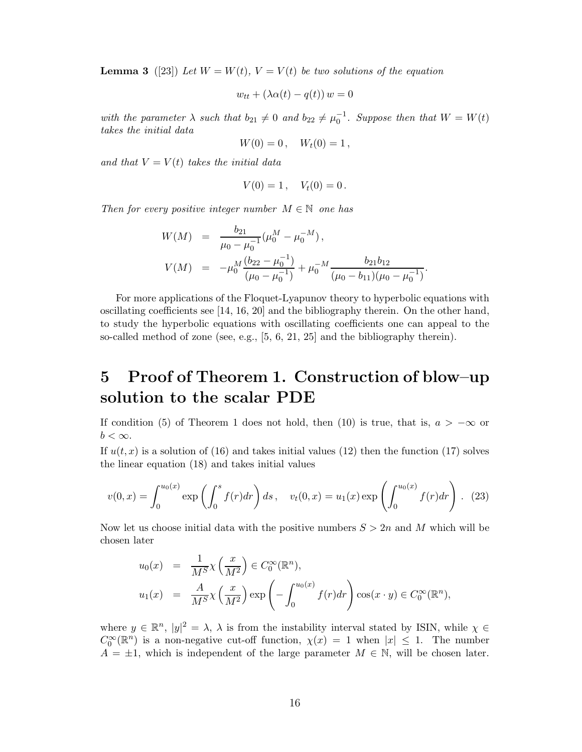**Lemma 3** ([23]) Let  $W = W(t)$ ,  $V = V(t)$  be two solutions of the equation

$$
w_{tt} + (\lambda \alpha(t) - q(t)) w = 0
$$

with the parameter  $\lambda$  such that  $b_{21} \neq 0$  and  $b_{22} \neq \mu_0^{-1}$ . Suppose then that  $W = W(t)$ takes the initial data

$$
W(0) = 0\,,\quad W_t(0) = 1\,,
$$

and that  $V = V(t)$  takes the initial data

$$
V(0) = 1, \quad V_t(0) = 0.
$$

Then for every positive integer number  $M \in \mathbb{N}$  one has

$$
W(M) = \frac{b_{21}}{\mu_0 - \mu_0^{-1}} (\mu_0^M - \mu_0^{-M}),
$$
  
\n
$$
V(M) = -\mu_0^M \frac{(b_{22} - \mu_0^{-1})}{(\mu_0 - \mu_0^{-1})} + \mu_0^{-M} \frac{b_{21}b_{12}}{(\mu_0 - b_{11})(\mu_0 - \mu_0^{-1})}.
$$

For more applications of the Floquet-Lyapunov theory to hyperbolic equations with oscillating coefficients see [14, 16, 20] and the bibliography therein. On the other hand, to study the hyperbolic equations with oscillating coefficients one can appeal to the so-called method of zone (see, e.g., [5, 6, 21, 25] and the bibliography therein).

# 5 Proof of Theorem 1. Construction of blow–up solution to the scalar PDE

If condition (5) of Theorem 1 does not hold, then (10) is true, that is,  $a > -\infty$  or  $b < \infty$ .

If  $u(t, x)$  is a solution of (16) and takes initial values (12) then the function (17) solves the linear equation (18) and takes initial values

$$
v(0,x) = \int_0^{u_0(x)} \exp\left(\int_0^s f(r)dr\right)ds \, , \quad v_t(0,x) = u_1(x) \exp\left(\int_0^{u_0(x)} f(r)dr\right) \, . \tag{23}
$$

Now let us choose initial data with the positive numbers  $S > 2n$  and M which will be chosen later

$$
u_0(x) = \frac{1}{M^S} \chi\left(\frac{x}{M^2}\right) \in C_0^{\infty}(\mathbb{R}^n),
$$
  

$$
u_1(x) = \frac{A}{M^S} \chi\left(\frac{x}{M^2}\right) \exp\left(-\int_0^{u_0(x)} f(r) dr\right) \cos(x \cdot y) \in C_0^{\infty}(\mathbb{R}^n),
$$

where  $y \in \mathbb{R}^n$ ,  $|y|^2 = \lambda$ ,  $\lambda$  is from the instability interval stated by ISIN, while  $\chi \in$  $C_0^{\infty}(\mathbb{R}^n)$  is a non-negative cut-off function,  $\chi(x) = 1$  when  $|x| \leq 1$ . The number  $A = \pm 1$ , which is independent of the large parameter  $M \in \mathbb{N}$ , will be chosen later.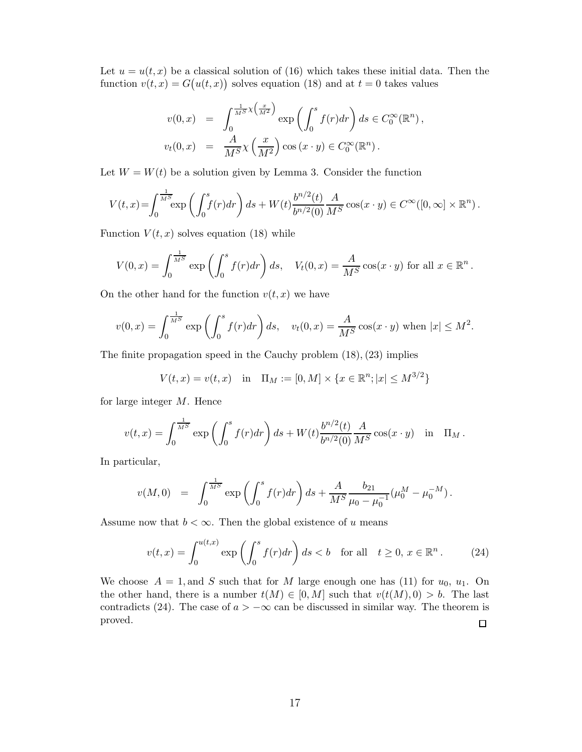Let  $u = u(t, x)$  be a classical solution of (16) which takes these initial data. Then the function  $v(t, x) = G(u(t, x))$  solves equation (18) and at  $t = 0$  takes values

$$
v(0,x) = \int_0^{\frac{1}{MS}\chi\left(\frac{x}{M^2}\right)} \exp\left(\int_0^s f(r)dr\right) ds \in C_0^{\infty}(\mathbb{R}^n),
$$
  

$$
v_t(0,x) = \frac{A}{M^S}\chi\left(\frac{x}{M^2}\right)\cos\left(x\cdot y\right) \in C_0^{\infty}(\mathbb{R}^n).
$$

Let  $W = W(t)$  be a solution given by Lemma 3. Consider the function

$$
V(t,x) = \int_0^{\frac{1}{M^S}} \exp\left(\int_0^s f(r)dr\right)ds + W(t)\frac{b^{n/2}(t)}{b^{n/2}(0)}\frac{A}{M^S}\cos(x\cdot y) \in C^\infty([0,\infty]\times\mathbb{R}^n).
$$

Function  $V(t, x)$  solves equation (18) while

$$
V(0,x) = \int_0^{\frac{1}{M^S}} \exp\left(\int_0^s f(r)dr\right) ds, \quad V_t(0,x) = \frac{A}{M^S} \cos(x \cdot y) \text{ for all } x \in \mathbb{R}^n.
$$

On the other hand for the function  $v(t, x)$  we have

$$
v(0,x) = \int_0^{\frac{1}{M^S}} \exp\left(\int_0^s f(r)dr\right)ds, \quad v_t(0,x) = \frac{A}{M^S}\cos(x \cdot y) \text{ when } |x| \le M^2.
$$

The finite propagation speed in the Cauchy problem (18), (23) implies

$$
V(t, x) = v(t, x) \text{ in } \Pi_M := [0, M] \times \{x \in \mathbb{R}^n; |x| \le M^{3/2}\}
$$

for large integer M. Hence

$$
v(t,x) = \int_0^{\frac{1}{M^S}} \exp\left(\int_0^s f(r) dr\right) ds + W(t) \frac{b^{n/2}(t)}{b^{n/2}(0)} \frac{A}{M^S} \cos(x \cdot y) \text{ in } \Pi_M.
$$

In particular,

$$
v(M,0) = \int_0^{\frac{1}{M^S}} \exp\left(\int_0^s f(r)dr\right) ds + \frac{A}{M^S} \frac{b_{21}}{\mu_0 - \mu_0^{-1}} (\mu_0^M - \mu_0^{-M}).
$$

Assume now that  $b < \infty$ . Then the global existence of u means

$$
v(t,x) = \int_0^{u(t,x)} \exp\left(\int_0^s f(r)dr\right)ds < b \quad \text{for all} \quad t \ge 0, \ x \in \mathbb{R}^n. \tag{24}
$$

We choose  $A = 1$ , and S such that for M large enough one has (11) for  $u_0$ ,  $u_1$ . On the other hand, there is a number  $t(M) \in [0, M]$  such that  $v(t(M), 0) > b$ . The last contradicts (24). The case of  $a > -\infty$  can be discussed in similar way. The theorem is proved.  $\Box$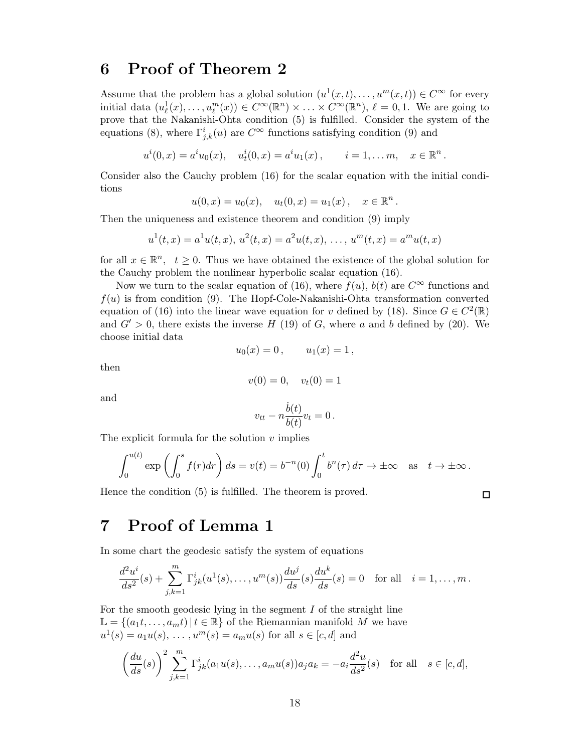#### 6 Proof of Theorem 2

Assume that the problem has a global solution  $(u^1(x,t),...,u^m(x,t)) \in C^{\infty}$  for every initial data  $(u_{\ell}^1(x),...,u_{\ell}^m(x)) \in C^{\infty}(\mathbb{R}^n) \times ... \times C^{\infty}(\mathbb{R}^n)$ ,  $\ell = 0,1$ . We are going to prove that the Nakanishi-Ohta condition (5) is fulfilled. Consider the system of the equations (8), where  $\Gamma^i_{j,k}(u)$  are  $C^{\infty}$  functions satisfying condition (9) and

 $u^{i}(0,x) = a^{i}u_{0}(x), \quad u^{i}_{t}(0,x) = a^{i}u_{1}(x), \qquad i = 1, \ldots m, \quad x \in \mathbb{R}^{n}.$ 

Consider also the Cauchy problem (16) for the scalar equation with the initial conditions

$$
u(0,x) = u_0(x), \quad u_t(0,x) = u_1(x), \quad x \in \mathbb{R}^n.
$$

Then the uniqueness and existence theorem and condition (9) imply

$$
u^1(t,x) = a^1u(t,x), u^2(t,x) = a^2u(t,x), \ldots, u^m(t,x) = a^mu(t,x)
$$

for all  $x \in \mathbb{R}^n$ ,  $t \geq 0$ . Thus we have obtained the existence of the global solution for the Cauchy problem the nonlinear hyperbolic scalar equation (16).

Now we turn to the scalar equation of (16), where  $f(u)$ ,  $b(t)$  are  $C^{\infty}$  functions and  $f(u)$  is from condition (9). The Hopf-Cole-Nakanishi-Ohta transformation converted equation of (16) into the linear wave equation for v defined by (18). Since  $G \in C^2(\mathbb{R})$ and  $G' > 0$ , there exists the inverse H (19) of G, where a and b defined by (20). We choose initial data

$$
u_0(x) = 0
$$
,  $u_1(x) = 1$ ,

then

$$
v(0) = 0, \quad v_t(0) = 1
$$

and

$$
v_{tt} - n\frac{\dot{b}(t)}{b(t)}v_t = 0.
$$

The explicit formula for the solution  $v$  implies

$$
\int_0^{u(t)} \exp\left(\int_0^s f(r)dr\right) ds = v(t) = b^{-n}(0) \int_0^t b^n(\tau) d\tau \to \pm \infty \text{ as } t \to \pm \infty.
$$

Hence the condition (5) is fulfilled. The theorem is proved.

 $\Box$ 

## 7 Proof of Lemma 1

In some chart the geodesic satisfy the system of equations

$$
\frac{d^2u^i}{ds^2}(s) + \sum_{j,k=1}^m \Gamma^i_{jk}(u^1(s), \dots, u^m(s)) \frac{du^j}{ds}(s) \frac{du^k}{ds}(s) = 0 \text{ for all } i = 1, \dots, m.
$$

For the smooth geodesic lying in the segment  $I$  of the straight line  $\mathbb{L} = \{(a_1t, \ldots, a_mt) | t \in \mathbb{R}\}\$  of the Riemannian manifold M we have  $u^{1}(s) = a_{1}u(s), \ldots, u^{m}(s) = a_{m}u(s)$  for all  $s \in [c, d]$  and

$$
\left(\frac{du}{ds}(s)\right)^2 \sum_{j,k=1}^m \Gamma^i_{jk}(a_1u(s),\ldots,a_mu(s))a_ja_k = -a_i\frac{d^2u}{ds^2}(s) \text{ for all } s \in [c,d],
$$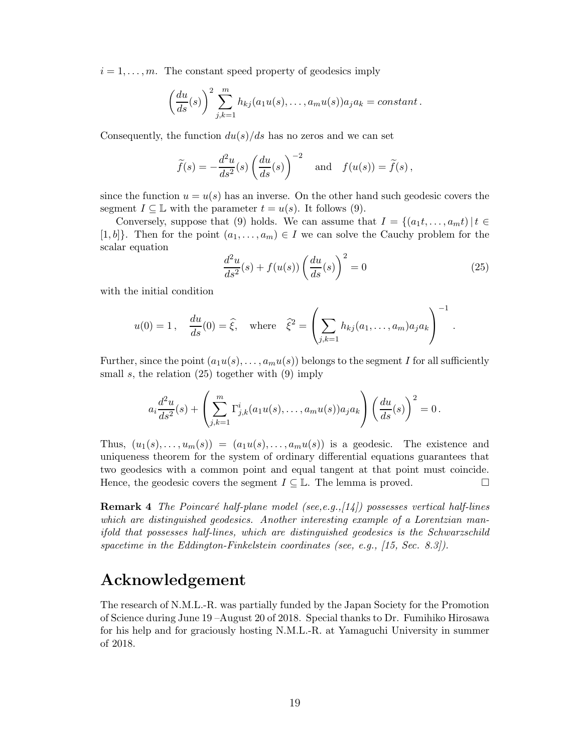$i = 1, \ldots, m$ . The constant speed property of geodesics imply

$$
\left(\frac{du}{ds}(s)\right)^2\sum_{j,k=1}^m h_{kj}(a_1u(s),\ldots,a_mu(s))a_ja_k = constant.
$$

Consequently, the function  $du(s)/ds$  has no zeros and we can set

$$
\widetilde{f}(s) = -\frac{d^2u}{ds^2}(s)\left(\frac{du}{ds}(s)\right)^{-2}
$$
 and  $f(u(s)) = \widetilde{f}(s)$ ,

since the function  $u = u(s)$  has an inverse. On the other hand such geodesic covers the segment  $I \subseteq \mathbb{L}$  with the parameter  $t = u(s)$ . It follows (9).

Conversely, suppose that (9) holds. We can assume that  $I = \{(a_1t, \ldots, a_mt) | t \in$ [1, b]. Then for the point  $(a_1, \ldots, a_m) \in I$  we can solve the Cauchy problem for the scalar equation

$$
\frac{d^2u}{ds^2}(s) + f(u(s))\left(\frac{du}{ds}(s)\right)^2 = 0\tag{25}
$$

with the initial condition

$$
u(0) = 1
$$
,  $\frac{du}{ds}(0) = \hat{\xi}$ , where  $\hat{\xi}^2 = \left(\sum_{j,k=1} h_{kj}(a_1,\ldots,a_m)a_j a_k\right)^{-1}$ .

Further, since the point  $(a_1u(s), \ldots, a_mu(s))$  belongs to the segment I for all sufficiently small s, the relation  $(25)$  together with  $(9)$  imply

$$
a_i \frac{d^2 u}{ds^2}(s) + \left(\sum_{j,k=1}^m \Gamma_{j,k}^i (a_1 u(s), \dots, a_m u(s)) a_j a_k\right) \left(\frac{du}{ds}(s)\right)^2 = 0.
$$

Thus,  $(u_1(s), \ldots, u_m(s)) = (a_1u(s), \ldots, a_mu(s))$  is a geodesic. The existence and uniqueness theorem for the system of ordinary differential equations guarantees that two geodesics with a common point and equal tangent at that point must coincide. Hence, the geodesic covers the segment  $I \subseteq \mathbb{L}$ . The lemma is proved.

Remark 4 The Poincaré half-plane model (see,e.g.,[14]) possesses vertical half-lines which are distinguished geodesics. Another interesting example of a Lorentzian manifold that possesses half-lines, which are distinguished geodesics is the Schwarzschild spacetime in the Eddington-Finkelstein coordinates (see, e.g., [15, Sec. 8.3]).

### Acknowledgement

The research of N.M.L.-R. was partially funded by the Japan Society for the Promotion of Science during June 19 –August 20 of 2018. Special thanks to Dr. Fumihiko Hirosawa for his help and for graciously hosting N.M.L.-R. at Yamaguchi University in summer of 2018.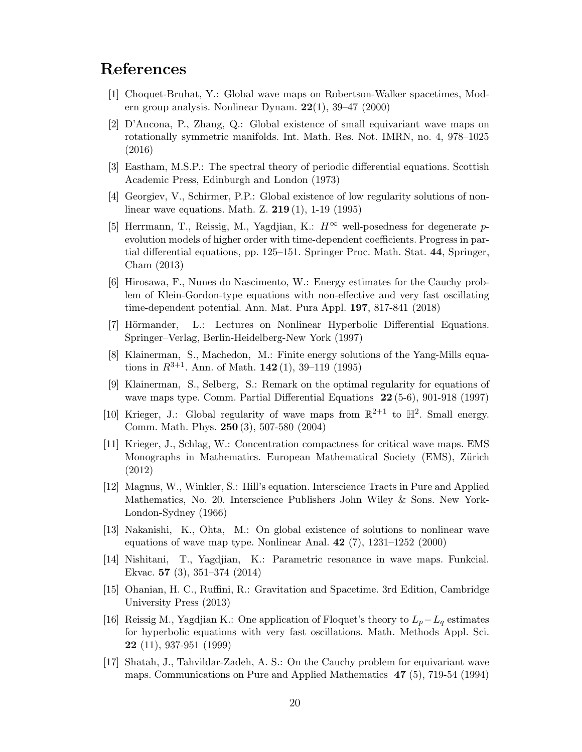### References

- [1] Choquet-Bruhat, Y.: Global wave maps on Robertson-Walker spacetimes, Modern group analysis. Nonlinear Dynam. 22(1), 39–47 (2000)
- [2] D'Ancona, P., Zhang, Q.: Global existence of small equivariant wave maps on rotationally symmetric manifolds. Int. Math. Res. Not. IMRN, no. 4, 978–1025 (2016)
- [3] Eastham, M.S.P.: The spectral theory of periodic differential equations. Scottish Academic Press, Edinburgh and London (1973)
- [4] Georgiev, V., Schirmer, P.P.: Global existence of low regularity solutions of nonlinear wave equations. Math. Z. 219 (1), 1-19 (1995)
- [5] Herrmann, T., Reissig, M., Yagdjian, K.:  $H^{\infty}$  well-posedness for degenerate pevolution models of higher order with time-dependent coefficients. Progress in partial differential equations, pp. 125–151. Springer Proc. Math. Stat. 44, Springer, Cham (2013)
- [6] Hirosawa, F., Nunes do Nascimento, W.: Energy estimates for the Cauchy problem of Klein-Gordon-type equations with non-effective and very fast oscillating time-dependent potential. Ann. Mat. Pura Appl. 197, 817-841 (2018)
- [7] Hörmander, L.: Lectures on Nonlinear Hyperbolic Differential Equations. Springer–Verlag, Berlin-Heidelberg-New York (1997)
- [8] Klainerman, S., Machedon, M.: Finite energy solutions of the Yang-Mills equations in  $R^{3+1}$ . Ann. of Math. 142(1), 39–119 (1995)
- [9] Klainerman, S., Selberg, S.: Remark on the optimal regularity for equations of wave maps type. Comm. Partial Differential Equations 22 (5-6), 901-918 (1997)
- [10] Krieger, J.: Global regularity of wave maps from  $\mathbb{R}^{2+1}$  to  $\mathbb{H}^2$ . Small energy. Comm. Math. Phys. 250 (3), 507-580 (2004)
- [11] Krieger, J., Schlag, W.: Concentration compactness for critical wave maps. EMS Monographs in Mathematics. European Mathematical Society (EMS), Zürich (2012)
- [12] Magnus, W., Winkler, S.: Hill's equation. Interscience Tracts in Pure and Applied Mathematics, No. 20. Interscience Publishers John Wiley & Sons. New York-London-Sydney (1966)
- [13] Nakanishi, K., Ohta, M.: On global existence of solutions to nonlinear wave equations of wave map type. Nonlinear Anal. 42 (7), 1231–1252 (2000)
- [14] Nishitani, T., Yagdjian, K.: Parametric resonance in wave maps. Funkcial. Ekvac. 57 (3), 351–374 (2014)
- [15] Ohanian, H. C., Ruffini, R.: Gravitation and Spacetime. 3rd Edition, Cambridge University Press (2013)
- [16] Reissig M., Yagdjian K.: One application of Floquet's theory to  $L_p L_q$  estimates for hyperbolic equations with very fast oscillations. Math. Methods Appl. Sci. 22 (11), 937-951 (1999)
- [17] Shatah, J., Tahvildar-Zadeh, A. S.: On the Cauchy problem for equivariant wave maps. Communications on Pure and Applied Mathematics 47 (5), 719-54 (1994)